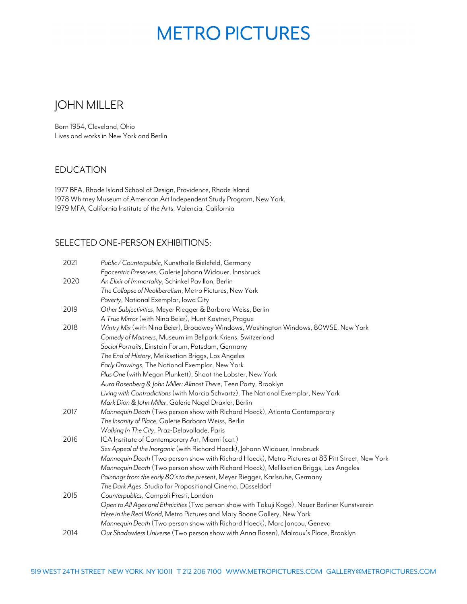# **METRO PICTURES**

## JOHN MILLER

 Born 1954, Cleveland, Ohio Lives and works in New York and Berlin

#### EDUCATION

1977 BFA, Rhode Island School of Design, Providence, Rhode Island 1978 Whitney Museum of American Art Independent Study Program, New York, 1979 MFA, California Institute of the Arts, Valencia, California

#### SELECTED ONE-PERSON EXHIBITIONS:

| 2021 | Public / Counterpublic, Kunsthalle Bielefeld, Germany                                            |
|------|--------------------------------------------------------------------------------------------------|
|      | Egocentric Preserves, Galerie Johann Widauer, Innsbruck                                          |
| 2020 | An Elixir of Immortality, Schinkel Pavillon, Berlin                                              |
|      | The Collapse of Neoliberalism, Metro Pictures, New York                                          |
|      | Poverty, National Exemplar, Iowa City                                                            |
| 2019 | Other Subjectivities, Meyer Riegger & Barbara Weiss, Berlin                                      |
|      | A True Mirror (with Nina Beier), Hunt Kastner, Praque                                            |
| 2018 | Wintry Mix (with Nina Beier), Broadway Windows, Washington Windows, 80WSE, New York              |
|      | Comedy of Manners, Museum im Bellpark Kriens, Switzerland                                        |
|      | Social Portraits, Einstein Forum, Potsdam, Germany                                               |
|      | The End of History, Meliksetian Briggs, Los Angeles                                              |
|      | Early Drawings, The National Exemplar, New York                                                  |
|      | Plus One (with Megan Plunkett), Shoot the Lobster, New York                                      |
|      | Aura Rosenberg & John Miller: Almost There, Teen Party, Brooklyn                                 |
|      | Living with Contradictions (with Marcia Schvartz), The National Exemplar, New York               |
|      | Mark Dion & John Miller, Galerie Nagel Draxler, Berlin                                           |
| 2017 | Mannequin Death (Two person show with Richard Hoeck), Atlanta Contemporary                       |
|      | The Insanity of Place, Galerie Barbara Weiss, Berlin                                             |
|      | Walking In The City, Praz-Delavallade, Paris                                                     |
| 2016 | ICA Institute of Contemporary Art, Miami (cat.)                                                  |
|      | Sex Appeal of the Inorganic (with Richard Hoeck), Johann Widauer, Innsbruck                      |
|      | Mannequin Death (Two person show with Richard Hoeck), Metro Pictures at 83 Pitt Street, New York |
|      | Mannequin Death (Two person show with Richard Hoeck), Meliksetian Briggs, Los Angeles            |
|      | Paintings from the early 80's to the present, Meyer Riegger, Karlsruhe, Germany                  |
|      | The Dark Ages, Studio for Propositional Cinema, Düsseldorf                                       |
| 2015 | Counterpublics, Campoli Presti, London                                                           |
|      | Open to All Ages and Ethnicities (Two person show with Takuji Kogo), Neuer Berliner Kunstverein  |
|      | Here in the Real World, Metro Pictures and Mary Boone Gallery, New York                          |
|      | Mannequin Death (Two person show with Richard Hoeck), Marc Jancou, Geneva                        |
| 2014 | Our Shadowless Universe (Two person show with Anna Rosen), Malraux's Place, Brooklyn             |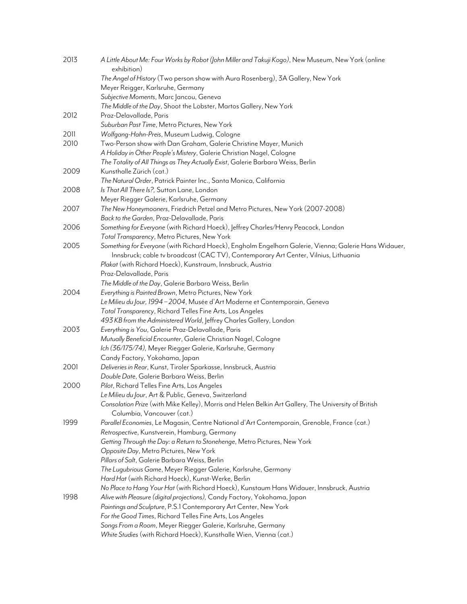| 2013 | A Little About Me: Four Works by Robot (John Miller and Takuji Kogo), New Museum, New York (online<br>exhibition) |
|------|-------------------------------------------------------------------------------------------------------------------|
|      | The Angel of History (Two person show with Aura Rosenberg), 3A Gallery, New York                                  |
|      | Meyer Reigger, Karlsruhe, Germany                                                                                 |
|      | Subjective Moments, Marc Jancou, Geneva                                                                           |
|      | The Middle of the Day, Shoot the Lobster, Martos Gallery, New York                                                |
| 2012 | Praz-Delavallade, Paris                                                                                           |
|      | Suburban Past Time, Metro Pictures, New York                                                                      |
| 2011 | Wolfgang-Hahn-Preis, Museum Ludwig, Cologne                                                                       |
| 2010 | Two-Person show with Dan Graham, Galerie Christine Mayer, Munich                                                  |
|      | A Holiday in Other People's Mistery, Galerie Christian Nagel, Cologne                                             |
|      | The Totality of All Things as They Actually Exist, Galerie Barbara Weiss, Berlin                                  |
| 2009 | Kunsthalle Zürich (cat.)                                                                                          |
|      | The Natural Order, Patrick Painter Inc., Santa Monica, California                                                 |
| 2008 | Is That All There Is?, Sutton Lane, London                                                                        |
|      | Meyer Riegger Galerie, Karlsruhe, Germany                                                                         |
| 2007 | The New Honeymooners, Friedrich Petzel and Metro Pictures, New York (2007-2008)                                   |
|      | Back to the Garden, Praz-Delavallade, Paris                                                                       |
| 2006 | Something for Everyone (with Richard Hoeck), Jeffrey Charles/Henry Peacock, London                                |
|      | Total Transparency, Metro Pictures, New York                                                                      |
| 2005 | Something for Everyone (with Richard Hoeck), Engholm Engelhorn Galerie, Vienna; Galerie Hans Widauer,             |
|      | Innsbruck; cable tv broadcast (CACTV), Contemporary Art Center, Vilnius, Lithuania                                |
|      | Plakat (with Richard Hoeck), Kunstraum, Innsbruck, Austria                                                        |
|      | Praz-Delavallade, Paris                                                                                           |
|      | The Middle of the Day, Galerie Barbara Weiss, Berlin                                                              |
| 2004 | Everything is Painted Brown, Metro Pictures, New York                                                             |
|      | Le Milieu du Jour, 1994-2004, Musée d'Art Moderne et Contemporain, Geneva                                         |
|      | Total Transparency, Richard Telles Fine Arts, Los Angeles                                                         |
|      | 493 KB from the Administered World, Jeffrey Charles Gallery, London                                               |
| 2003 | Everything is You, Galerie Praz-Delavallade, Paris                                                                |
|      | Mutually Beneficial Encounter, Galerie Christian Nagel, Cologne                                                   |
|      | Ich (36/175/74), Meyer Riegger Galerie, Karlsruhe, Germany                                                        |
|      | Candy Factory, Yokohama, Japan                                                                                    |
| 2001 | Deliveries in Rear, Kunst, Tiroler Sparkasse, Innsbruck, Austria                                                  |
|      | Double Date, Galerie Barbara Weiss, Berlin                                                                        |
| 2000 | Pilot, Richard Telles Fine Arts, Los Angeles                                                                      |
|      | Le Milieu du Jour, Art & Public, Geneva, Switzerland                                                              |
|      | Consolation Prize (with Mike Kelley), Morris and Helen Belkin Art Gallery, The University of British              |
|      | Columbia, Vancouver (cat.)                                                                                        |
| 1999 | Parallel Economies, Le Magasin, Centre National d'Art Contemporain, Grenoble, France (cat.)                       |
|      | Retrospective, Kunstverein, Hamburg, Germany                                                                      |
|      | Getting Through the Day: a Return to Stonehenge, Metro Pictures, New York                                         |
|      | Opposite Day, Metro Pictures, New York                                                                            |
|      | Pillars of Salt, Galerie Barbara Weiss, Berlin                                                                    |
|      | The Lugubrious Game, Meyer Riegger Galerie, Karlsruhe, Germany                                                    |
|      | Hard Hat (with Richard Hoeck), Kunst-Werke, Berlin                                                                |
|      | No Place to Hang Your Hat (with Richard Hoeck), Kunstaum Hans Widauer, Innsbruck, Austria                         |
| 1998 | Alive with Pleasure (digital projections), Candy Factory, Yokohama, Japan                                         |
|      | Paintings and Sculpture, P.S.1 Contemporary Art Center, New York                                                  |
|      | For the Good Times, Richard Telles Fine Arts, Los Angeles                                                         |
|      | Songs From a Room, Meyer Riegger Galerie, Karlsruhe, Germany                                                      |
|      | White Studies (with Richard Hoeck), Kunsthalle Wien, Vienna (cat.)                                                |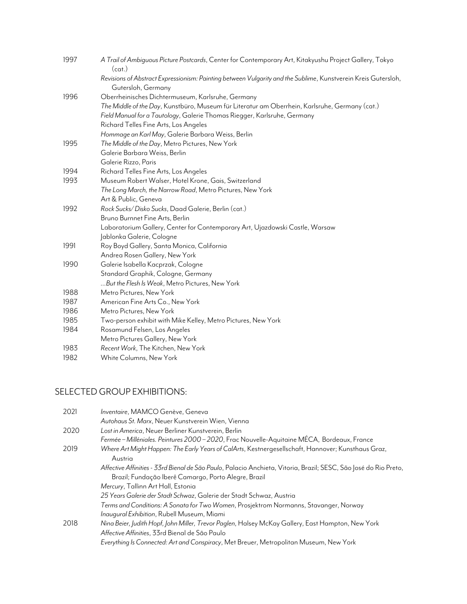| 1997 | A Trail of Ambiguous Picture Postcards, Center for Contemporary Art, Kitakyushu Project Gallery, Tokyo<br>(cat.)                    |
|------|-------------------------------------------------------------------------------------------------------------------------------------|
|      | Revisions of Abstract Expressionism: Painting between Vulgarity and the Sublime, Kunstverein Kreis Gutersloh,<br>Gutersloh, Germany |
| 1996 | Oberrheinisches Dichtermuseum, Karlsruhe, Germany                                                                                   |
|      | The Middle of the Day, Kunstbüro, Museum für Literatur am Oberrhein, Karlsruhe, Germany (cat.)                                      |
|      | Field Manual for a Tautology, Galerie Thomas Riegger, Karlsruhe, Germany                                                            |
|      | Richard Telles Fine Arts, Los Angeles                                                                                               |
|      | Hommage an Karl May, Galerie Barbara Weiss, Berlin                                                                                  |
| 1995 | The Middle of the Day, Metro Pictures, New York                                                                                     |
|      | Galerie Barbara Weiss, Berlin                                                                                                       |
|      | Galerie Rizzo, Paris                                                                                                                |
| 1994 | Richard Telles Fine Arts, Los Angeles                                                                                               |
| 1993 | Museum Robert Walser, Hotel Krone, Gais, Switzerland                                                                                |
|      | The Long March, the Narrow Road, Metro Pictures, New York                                                                           |
|      | Art & Public, Geneva                                                                                                                |
| 1992 | Rock Sucks/Disko Sucks, Daad Galerie, Berlin (cat.)                                                                                 |
|      | Bruno Burnnet Fine Arts, Berlin                                                                                                     |
|      | Laboratorium Gallery, Center for Contemporary Art, Ujazdowski Castle, Warsaw                                                        |
|      | Jablonka Galerie, Cologne                                                                                                           |
| 1991 | Roy Boyd Gallery, Santa Monica, California                                                                                          |
|      | Andrea Rosen Gallery, New York                                                                                                      |
| 1990 | Galerie Isabella Kacprzak, Cologne                                                                                                  |
|      | Standard Graphik, Cologne, Germany                                                                                                  |
|      | But the Flesh Is Weak, Metro Pictures, New York                                                                                     |
| 1988 | Metro Pictures, New York                                                                                                            |
| 1987 | American Fine Arts Co., New York                                                                                                    |
| 1986 | Metro Pictures, New York                                                                                                            |
| 1985 | Two-person exhibit with Mike Kelley, Metro Pictures, New York                                                                       |
| 1984 | Rosamund Felsen, Los Angeles                                                                                                        |
|      | Metro Pictures Gallery, New York                                                                                                    |
| 1983 | Recent Work, The Kitchen, New York                                                                                                  |
| 1982 | White Columns, New York                                                                                                             |

## SELECTED GROUP EXHIBITIONS:

| 2021 | Inventaire, MAMCO Genève, Geneva                                                                                 |
|------|------------------------------------------------------------------------------------------------------------------|
|      | Autohaus St. Marx, Neuer Kunstverein Wien, Vienna                                                                |
| 2020 | Lost in America, Neuer Berliner Kunstverein, Berlin                                                              |
|      | Fermée – Milléniales. Peintures 2000 – 2020, Frac Nouvelle-Aquitaine MÉCA, Bordeaux, France                      |
| 2019 | Where Art Might Happen: The Early Years of CalArts, Kestnergesellschaft, Hannover; Kunsthaus Graz,               |
|      | Austria                                                                                                          |
|      | Affective Affinities - 33rd Bienal de São Paulo, Palacio Anchieta, Vitoria, Brazil; SESC, São José do Rio Preto, |
|      | Brazil; Fundação Iberê Camargo, Porto Alegre, Brazil                                                             |
|      | Mercury, Tallinn Art Hall, Estonia                                                                               |
|      | 25 Years Galerie der Stadt Schwaz, Galerie der Stadt Schwaz, Austria                                             |
|      | Terms and Conditions: A Sonata for Two Women, Prosjektrom Normanns, Stavanger, Norway                            |
|      | Inaugural Exhibition, Rubell Museum, Miami                                                                       |
| 2018 | Nina Beier, Judith Hopf, John Miller, Trevor Paglen, Halsey McKay Gallery, East Hampton, New York                |
|      | Affective Affinities, 33rd Bienal de São Paulo                                                                   |
|      | Everything Is Connected: Art and Conspiracy, Met Breuer, Metropolitan Museum, New York                           |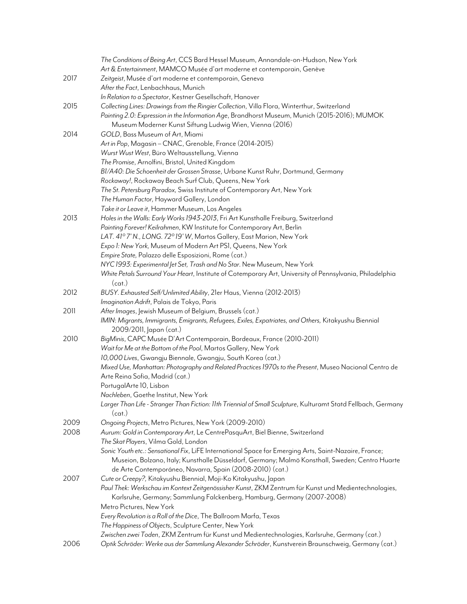|      | The Conditions of Being Art, CCS Bard Hessel Museum, Annandale-on-Hudson, New York                                 |
|------|--------------------------------------------------------------------------------------------------------------------|
|      | Art & Entertainment, MAMCO Musée d'art moderne et contemporain, Genève                                             |
| 2017 | Zeitgeist, Musée d'art moderne et contemporain, Geneva                                                             |
|      | After the Fact, Lenbachhaus, Munich                                                                                |
|      | In Relation to a Spectator, Kestner Gesellschaft, Hanover                                                          |
| 2015 | Collecting Lines: Drawings from the Ringier Collection, Villa Flora, Winterthur, Switzerland                       |
|      | Painting 2.0: Expression in the Information Age, Brandhorst Museum, Munich (2015-2016); MUMOK                      |
|      | Museum Moderner Kunst Siftung Ludwig Wien, Vienna (2016)                                                           |
| 2014 | GOLD, Bass Museum of Art, Miami                                                                                    |
|      | Art in Pop, Magasin - CNAC, Grenoble, France (2014-2015)                                                           |
|      | Wurst Wust West, Büro Weltausstellung, Vienna                                                                      |
|      | The Promise, Arnolfini, Bristol, United Kingdom                                                                    |
|      | BI/A40: Die Schoenheit der Grossen Strasse, Urbane Kunst Ruhr, Dortmund, Germany                                   |
|      | Rockaway!, Rockaway Beach Surf Club, Queens, New York                                                              |
|      | The St. Petersburg Paradox, Swiss Institute of Contemporary Art, New York                                          |
|      | The Human Factor, Hayward Gallery, London                                                                          |
|      | Take it or Leave it, Hammer Museum, Los Angeles                                                                    |
| 2013 | Holes in the Walls: Early Works 1943-2013, Fri Art Kunsthalle Freiburg, Switzerland                                |
|      | Painting Forever! Keilrahmen, KW Institute for Contemporary Art, Berlin                                            |
|      | LAT. 41° 7' N., LONG. 72° 19' W, Martos Gallery, East Marion, New York                                             |
|      | Expo 1: New York, Museum of Modern Art PS1, Queens, New York                                                       |
|      | Empire State, Palazzo delle Esposizioni, Rome (cat.)                                                               |
|      | NYC 1993: Experimental Jet Set, Trash and No Star. New Museum, New York                                            |
|      | White Petals Surround Your Heart, Institute of Cotemporary Art, University of Pennsylvania, Philadelphia<br>(cat.) |
| 2012 | BUSY. Exhausted Self/Unlimited Ability, 21er Haus, Vienna (2012-2013)                                              |
|      | Imagination Adrift, Palais de Tokyo, Paris                                                                         |
| 2011 | After Images, Jewish Museum of Belgium, Brussels (cat.)                                                            |
|      | IMIN: Migrants, Immigrants, Emigrants, Refugees, Exiles, Expatriates, and Others, Kitakyushu Biennial              |
|      | 2009/2011, Japan (cat.)                                                                                            |
| 2010 | BigMinis, CAPC Musée D'Art Contemporain, Bordeaux, France (2010-2011)                                              |
|      | Wait for Me at the Bottom of the Pool, Martos Gallery, New York                                                    |
|      | 10,000 Lives, Gwangju Biennale, Gwangju, South Korea (cat.)                                                        |
|      | Mixed Use, Manhattan: Photography and Related Practices 1970s to the Present, Museo Nacional Centro de             |
|      | Arte Reina Sofia, Madrid (cat.)<br>PortugalArte 10, Lisbon                                                         |
|      | Nachleben, Goethe Institut, New York                                                                               |
|      | Larger Than Life - Stranger Than Fiction: 11th Triennial of Small Sculpture, Kulturamt Statd Fellbach, Germany     |
|      | (cat.)                                                                                                             |
| 2009 | Ongoing Projects, Metro Pictures, New York (2009-2010)                                                             |
| 2008 | Aurum: Gold in Contemporary Art, Le CentrePasquArt, Biel Bienne, Switzerland                                       |
|      | The Skat Players, Vilma Gold, London                                                                               |
|      | Sonic Youth etc.: Sensational Fix, LiFE International Space for Emerging Arts, Saint-Nazaire, France;              |
|      | Museion, Bolzano, Italy; Kunsthalle Düsseldorf, Germany; Malmö Konsthall, Sweden; Centro Huarte                    |
|      | de Arte Contemporáneo, Navarra, Spain (2008-2010) (cat.)                                                           |
| 2007 | Cute or Creepy?, Kitakyushu Biennial, Moji-Ko Kitakyushu, Japan                                                    |
|      | Paul Thek: Werkschau im Kontext Zeitgenössisher Kunst, ZKM Zentrum für Kunst und Medientechnologies,               |
|      | Karlsruhe, Germany; Sammlung Falckenberg, Hamburg, Germany (2007-2008)                                             |
|      | Metro Pictures, New York                                                                                           |
|      | Every Revolution is a Roll of the Dice, The Ballroom Marfa, Texas                                                  |
|      | The Happiness of Objects, Sculpture Center, New York                                                               |
|      | Zwischen zwei Toden, ZKM Zentrum für Kunst und Medientechnologies, Karlsruhe, Germany (cat.)                       |
| 2006 | Optik Schröder: Werke aus der Sammlung Alexander Schröder, Kunstverein Braunschweig, Germany (cat.)                |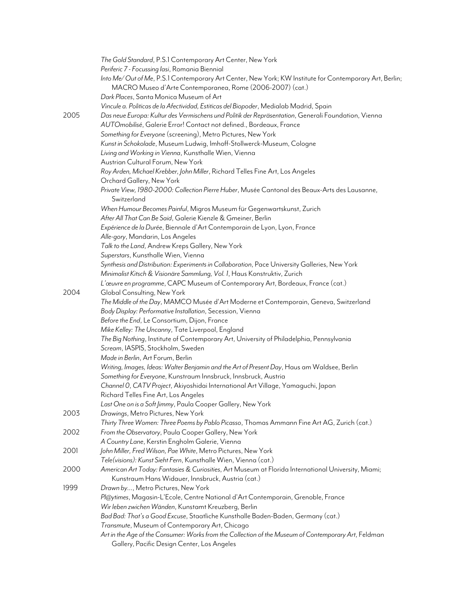|      | The Gold Standard, P.S.1 Contemporary Art Center, New York                                                                                                          |
|------|---------------------------------------------------------------------------------------------------------------------------------------------------------------------|
|      | Periferic 7 - Focussing lasi, Romania Biennial                                                                                                                      |
|      | Into Me/Out of Me, P.S.1 Contemporary Art Center, New York; KW Institute for Contemporary Art, Berlin;<br>MACRO Museo d'Arte Contemporanea, Rome (2006-2007) (cat.) |
|      | Dark Places, Santa Monica Museum of Art                                                                                                                             |
|      |                                                                                                                                                                     |
|      | Vincule a. Politicas de la Afectividad, Estiticas del Biopoder, Medialab Madrid, Spain                                                                              |
| 2005 | Das neue Europa: Kultur des Vermischens und Politik der Repräsentation, Generali Foundation, Vienna                                                                 |
|      | AUTOmobilisé, Galerie Error! Contact not defined., Bordeaux, France                                                                                                 |
|      | Something for Everyone (screening), Metro Pictures, New York                                                                                                        |
|      | Kunst in Schokolade, Museum Ludwig, Imhoff-Stollwerck-Museum, Cologne                                                                                               |
|      | Living and Working in Vienna, Kunsthalle Wien, Vienna                                                                                                               |
|      | Austrian Cultural Forum, New York                                                                                                                                   |
|      | Roy Arden, Michael Krebber, John Miller, Richard Telles Fine Art, Los Angeles                                                                                       |
|      | Orchard Gallery, New York                                                                                                                                           |
|      | Private View, 1980-2000: Collection Pierre Huber, Musée Cantonal des Beaux-Arts des Lausanne,<br>Switzerland                                                        |
|      | When Humour Becomes Painful, Migros Museum für Gegenwartskunst, Zurich                                                                                              |
|      | After All That Can Be Said, Galerie Kienzle & Gmeiner, Berlin                                                                                                       |
|      | Expérience de la Durée, Biennale d'Art Contemporain de Lyon, Lyon, France                                                                                           |
|      | Alle-gory, Mandarin, Los Angeles                                                                                                                                    |
|      | Talk to the Land, Andrew Kreps Gallery, New York                                                                                                                    |
|      | Superstars, Kunsthalle Wien, Vienna                                                                                                                                 |
|      | Synthesis and Distribution: Experiments in Collaboration, Pace University Galleries, New York                                                                       |
|      | Minimalist Kitsch & Visionäre Sammlung, Vol. 1, Haus Konstruktiv, Zurich                                                                                            |
|      | L'œuvre en programme, CAPC Museum of Contemporary Art, Bordeaux, France (cat.)                                                                                      |
| 2004 | Global Consulting, New York                                                                                                                                         |
|      | The Middle of the Day, MAMCO Musée d'Art Moderne et Contemporain, Geneva, Switzerland                                                                               |
|      | Body Display: Performative Installation, Secession, Vienna                                                                                                          |
|      | Before the End, Le Consortium, Dijon, France                                                                                                                        |
|      | Mike Kelley: The Uncanny, Tate Liverpool, England                                                                                                                   |
|      | The Big Nothing, Institute of Contemporary Art, University of Philadelphia, Pennsylvania                                                                            |
|      | Scream, IASPIS, Stockholm, Sweden                                                                                                                                   |
|      | Made in Berlin, Art Forum, Berlin                                                                                                                                   |
|      | Writing, Images, Ideas: Walter Benjamin and the Art of Present Day, Haus am Waldsee, Berlin                                                                         |
|      | Something for Everyone, Kunstraum Innsbruck, Innsbruck, Austria                                                                                                     |
|      | Channel O, CATV Project, Akiyoshidai International Art Village, Yamaguchi, Japan                                                                                    |
|      | Richard Telles Fine Art, Los Angeles                                                                                                                                |
|      | Last One on is a Soft Jimmy, Paula Cooper Gallery, New York                                                                                                         |
| 2003 | Drawings, Metro Pictures, New York                                                                                                                                  |
|      | Thirty Three Women: Three Poems by Pablo Picasso, Thomas Ammann Fine Art AG, Zurich (cat.)                                                                          |
| 2002 | From the Observatory, Paula Cooper Gallery, New York                                                                                                                |
|      | A Country Lane, Kerstin Engholm Galerie, Vienna                                                                                                                     |
| 2001 | John Miller, Fred Wilson, Pae White, Metro Pictures, New York                                                                                                       |
|      | Tele(visions): Kunst Sieht Fern, Kunsthalle Wien, Vienna (cat.)                                                                                                     |
| 2000 | American Art Today: Fantasies & Curiosities, Art Museum at Florida International University, Miami;                                                                 |
|      | Kunstraum Hans Widauer, Innsbruck, Austria (cat.)                                                                                                                   |
| 1999 | Drawn by, Metro Pictures, New York                                                                                                                                  |
|      | Pl@ytimes, Magasin-L'Ecole, Centre National d'Art Contemporain, Grenoble, France                                                                                    |
|      | Wir leben zwichen Wänden, Kunstamt Kreuzberg, Berlin                                                                                                                |
|      | Bad Bad: That's a Good Excuse, Staatliche Kunsthalle Baden-Baden, Germany (cat.)                                                                                    |
|      | Transmute, Museum of Contemporary Art, Chicago                                                                                                                      |
|      | Art in the Age of the Consumer: Works from the Collection of the Museum of Contemporary Art, Feldman                                                                |
|      | Gallery, Pacific Design Center, Los Angeles                                                                                                                         |
|      |                                                                                                                                                                     |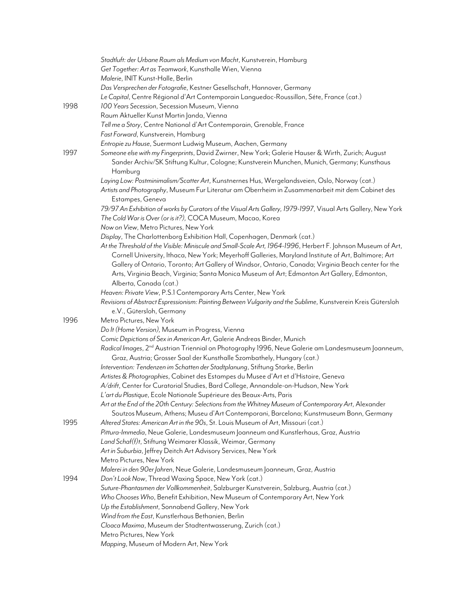|      | Stadtluft: der Urbane Raum als Medium von Macht, Kunstverein, Hamburg                                                                                                                                                        |
|------|------------------------------------------------------------------------------------------------------------------------------------------------------------------------------------------------------------------------------|
|      | Get Together: Art as Teamwork, Kunsthalle Wien, Vienna                                                                                                                                                                       |
|      | Malerie, INIT Kunst-Halle, Berlin                                                                                                                                                                                            |
|      | Das Versprechen der Fotografie, Kestner Gesellschaft, Hannover, Germany                                                                                                                                                      |
|      | Le Capital, Centre Régional d'Art Contemporain Languedoc-Roussillon, Séte, France (cat.)                                                                                                                                     |
| 1998 | 100 Years Secession, Secession Museum, Vienna                                                                                                                                                                                |
|      | Raum Aktueller Kunst Martin Janda, Vienna                                                                                                                                                                                    |
|      | Tell me a Story, Centre National d'Art Contemporain, Grenoble, France                                                                                                                                                        |
|      | Fast Forward, Kunstverein, Hamburg                                                                                                                                                                                           |
|      | Entropie zu Hause, Suermont Ludwig Museum, Aachen, Germany                                                                                                                                                                   |
| 1997 | Someone else with my Fingerprints, David Zwirner, New York; Galerie Hauser & Wirth, Zurich; August<br>Sander Archiv/SK Stiftung Kultur, Cologne; Kunstverein Munchen, Munich, Germany; Kunsthaus                             |
|      | Hamburg                                                                                                                                                                                                                      |
|      | Laying Low: Postminimalism/Scatter Art, Kunstnernes Hus, Wergelandsveien, Oslo, Norway (cat.)<br>Artists and Photography, Museum Fur Literatur am Oberrheim in Zusammenarbeit mit dem Cabinet des<br>Estampes, Geneva        |
|      | 79/97 An Exhibition of works by Curators of the Visual Arts Gallery, 1979-1997, Visual Arts Gallery, New York                                                                                                                |
|      | The Cold War is Over (or is it?), COCA Museum, Macao, Korea                                                                                                                                                                  |
|      | Now on View, Metro Pictures, New York                                                                                                                                                                                        |
|      | Display, The Charlottenborg Exhibition Hall, Copenhagen, Denmark (cat.)                                                                                                                                                      |
|      | At the Threshold of the Visible: Miniscule and Small-Scale Art, 1964-1996, Herbert F. Johnson Museum of Art,<br>Cornell University, Ithaca, New York; Meyerhoff Galleries, Maryland Institute of Art, Baltimore; Art         |
|      | Gallery of Ontario, Toronto; Art Gallery of Windsor, Ontario, Canada; Virginia Beach center for the<br>Arts, Virginia Beach, Virginia; Santa Monica Museum of Art; Edmonton Art Gallery, Edmonton,<br>Alberta, Canada (cat.) |
|      | Heaven: Private View, P.S.1 Contemporary Arts Center, New York                                                                                                                                                               |
|      | Revisions of Abstract Espressionism: Painting Between Vulgarity and the Sublime, Kunstverein Kreis Gütersloh                                                                                                                 |
|      | e.V., Gütersloh, Germany                                                                                                                                                                                                     |
| 1996 | Metro Pictures, New York                                                                                                                                                                                                     |
|      |                                                                                                                                                                                                                              |
|      | Do It (Home Version), Museum in Progress, Vienna                                                                                                                                                                             |
|      | Comic Depictions of Sex in American Art, Galerie Andreas Binder, Munich                                                                                                                                                      |
|      | Radical Images, 2 <sup>nd</sup> Austrian Triennial on Photography 1996, Neue Galerie am Landesmuseum Joanneum,<br>Graz, Austria; Grosser Saal der Kunsthalle Szombathely, Hungary (cat.)                                     |
|      | Intervention: Tendenzen im Schatten der Stadtplanung, Stiftung Starke, Berlin                                                                                                                                                |
|      | Artistes & Photographies, Cabinet des Estampes du Musee d'Art et d'Histoire, Geneva                                                                                                                                          |
|      | A/drift, Center for Curatorial Studies, Bard College, Annandale-on-Hudson, New York                                                                                                                                          |
|      | L'art du Plastique, Ecole Nationale Supérieure des Beaux-Arts, Paris                                                                                                                                                         |
|      | Art at the End of the 20th Century: Selections from the Whitney Museum of Contemporary Art, Alexander                                                                                                                        |
|      | Soutzos Museum, Athens; Museu d'Art Contemporani, Barcelona; Kunstmuseum Bonn, Germany                                                                                                                                       |
| 1995 | Altered States: American Art in the 90s, St. Louis Museum of Art, Missouri (cat.)                                                                                                                                            |
|      | Pittura-Immedia, Neue Galerie, Landesmuseum Joanneum and Kunstlerhaus, Graz, Austria                                                                                                                                         |
|      | Land Schaf(f)t, Stiftung Weimarer Klassik, Weimar, Germany                                                                                                                                                                   |
|      | Art in Suburbia, Jeffrey Deitch Art Advisory Services, New York                                                                                                                                                              |
|      | Metro Pictures, New York                                                                                                                                                                                                     |
|      | Malerei in den 90er Jahren, Neue Galerie, Landesmuseum Joanneum, Graz, Austria                                                                                                                                               |
| 1994 | Don't Look Now, Thread Waxing Space, New York (cat.)                                                                                                                                                                         |
|      | Suture-Phantasmen der Vollkommenheit, Salzburger Kunstverein, Salzburg, Austria (cat.)                                                                                                                                       |
|      | Who Chooses Who, Benefit Exhibition, New Museum of Contemporary Art, New York                                                                                                                                                |
|      | Up the Establishment, Sonnabend Gallery, New York                                                                                                                                                                            |
|      | Wind from the East, Kunstlerhaus Bethanien, Berlin                                                                                                                                                                           |
|      | Cloaca Maxima, Museum der Stadtentwasserung, Zurich (cat.)                                                                                                                                                                   |
|      | Metro Pictures, New York                                                                                                                                                                                                     |
|      | Mapping, Museum of Modern Art, New York                                                                                                                                                                                      |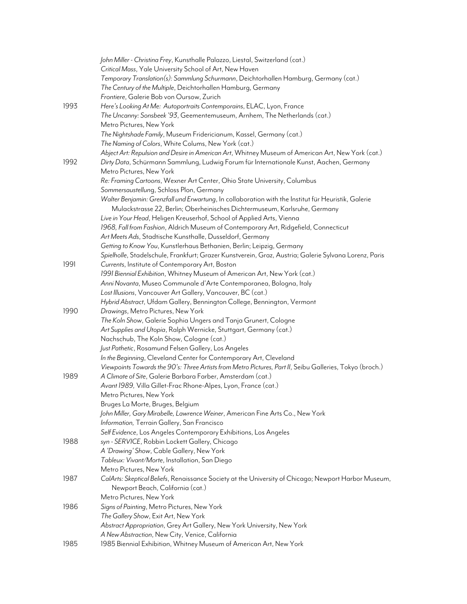|      | John Miller - Christina Frey, Kunsthalle Palazzo, Liestal, Switzerland (cat.)                            |
|------|----------------------------------------------------------------------------------------------------------|
|      | Critical Mass, Yale University School of Art, New Haven                                                  |
|      | Temporary Translation(s): Sammlung Schurmann, Deichtorhallen Hamburg, Germany (cat.)                     |
|      | The Century of the Multiple, Deichtorhallen Hamburg, Germany                                             |
|      | Frontiere, Galerie Bob von Oursow, Zurich                                                                |
| 1993 | Here's Looking At Me: Autoportraits Contemporains, ELAC, Lyon, France                                    |
|      | The Uncanny: Sonsbeek '93, Geementemuseum, Arnhem, The Netherlands (cat.)                                |
|      | Metro Pictures, New York                                                                                 |
|      |                                                                                                          |
|      | The Nightshade Family, Museum Fridericianum, Kassel, Germany (cat.)                                      |
|      | The Naming of Colors, White Colums, New York (cat.)                                                      |
|      | Abject Art: Repulsion and Desire in American Art, Whitney Museum of American Art, New York (cat.)        |
| 1992 | Dirty Data, Schürmann Sammlung, Ludwig Forum für Internationale Kunst, Aachen, Germany                   |
|      | Metro Pictures, New York                                                                                 |
|      | Re: Framing Cartoons, Wexner Art Center, Ohio State University, Columbus                                 |
|      | Sommersaustellung, Schloss Plon, Germany                                                                 |
|      | Walter Benjamin: Grenzfall und Erwartung, In collaboration with the Institut für Heuristik, Galerie      |
|      | Mulackstrasse 22, Berlin; Oberheinisches Dichtermuseum, Karlsruhe, Germany                               |
|      | Live in Your Head, Heligen Kreuserhof, School of Applied Arts, Vienna                                    |
|      | 1968, Fall from Fashion, Aldrich Museum of Contemporary Art, Ridgefield, Connecticut                     |
|      | Art Meets Ads, Stadtische Kunsthalle, Dusseldorf, Germany                                                |
|      | Getting to Know You, Kunstlerhaus Bethanien, Berlin; Leipzig, Germany                                    |
|      | Spielholle, Stadelschule, Frankfurt; Grazer Kunstverein, Graz, Austria; Galerie Sylvana Lorenz, Paris    |
| 1991 | Currents, Institute of Contemporary Art, Boston                                                          |
|      | 1991 Biennial Exhibition, Whitney Museum of American Art, New York (cat.)                                |
|      | Anni Novanta, Museo Communale d'Arte Contemporanea, Bologna, Italy                                       |
|      | Lost Illusions, Vancouver Art Gallery, Vancouver, BC (cat.)                                              |
|      | Hybrid Abstract, Ufdam Gallery, Bennington College, Bennington, Vermont                                  |
| 1990 | Drawings, Metro Pictures, New York                                                                       |
|      | The Koln Show, Galerie Sophia Ungers and Tanja Grunert, Cologne                                          |
|      | Art Supplies and Utopia, Ralph Wernicke, Stuttgart, Germany (cat.)                                       |
|      | Nachschub, The Koln Show, Cologne (cat.)                                                                 |
|      | Just Pathetic, Rosamund Felsen Gallery, Los Angeles                                                      |
|      | In the Beginning, Cleveland Center for Contemporary Art, Cleveland                                       |
|      | Viewpoints Towards the 90's: Three Artists from Metro Pictures, Part II, Seibu Galleries, Tokyo (broch.) |
| 1989 | A Climate of Site, Galerie Barbara Farber, Amsterdam (cat.)                                              |
|      | Avant 1989, Villa Gillet-Frac Rhone-Alpes, Lyon, France (cat.)                                           |
|      | Metro Pictures, New York                                                                                 |
|      | Bruges La Morte, Bruges, Belgium                                                                         |
|      | John Miller, Gary Mirabelle, Lawrence Weiner, American Fine Arts Co., New York                           |
|      | Information, Terrain Gallery, San Francisco                                                              |
|      |                                                                                                          |
|      | Self Evidence, Los Angeles Contemporary Exhibitions, Los Angeles                                         |
| 1988 | syn - SERVICE, Robbin Lockett Gallery, Chicago                                                           |
|      | A 'Drawing' Show, Cable Gallery, New York                                                                |
|      | Tableux: Vivant/Morte, Installation, San Diego                                                           |
|      | Metro Pictures, New York                                                                                 |
| 1987 | CalArts: Skeptical Beliefs, Renaissance Society at the University of Chicago; Newport Harbor Museum,     |
|      | Newport Beach, California (cat.)                                                                         |
|      | Metro Pictures, New York                                                                                 |
| 1986 | Signs of Painting, Metro Pictures, New York                                                              |
|      | The Gallery Show, Exit Art, New York                                                                     |
|      | Abstract Appropriation, Grey Art Gallery, New York University, New York                                  |
|      | A New Abstraction, New City, Venice, California                                                          |
| 1985 | 1985 Biennial Exhibition, Whitney Museum of American Art, New York                                       |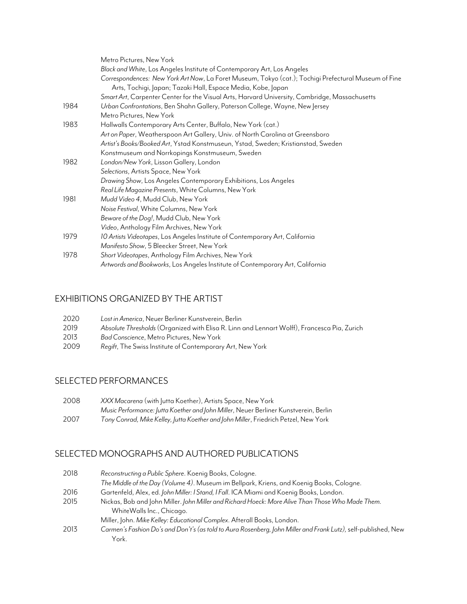|      | Metro Pictures, New York                                                                             |
|------|------------------------------------------------------------------------------------------------------|
|      | Black and White, Los Angeles Institute of Contemporary Art, Los Angeles                              |
|      | Correspondences: New York Art Now, La Foret Museum, Tokyo (cat.); Tochigi Prefectural Museum of Fine |
|      | Arts, Tochigi, Japan; Tazaki Hall, Espace Media, Kobe, Japan                                         |
|      | Smart Art, Carpenter Center for the Visual Arts, Harvard University, Cambridge, Massachusetts        |
| 1984 | Urban Confrontations, Ben Shahn Gallery, Paterson College, Wayne, New Jersey                         |
|      | Metro Pictures, New York                                                                             |
| 1983 | Hallwalls Contemporary Arts Center, Buffalo, New York (cat.)                                         |
|      | Art on Paper, Weatherspoon Art Gallery, Univ. of North Carolina at Greensboro                        |
|      | Artist's Books/Booked Art, Ystad Konstmuseun, Ystad, Sweden; Kristianstad, Sweden                    |
|      | Konstmuseum and Norrkopings Konstmuseum, Sweden                                                      |
| 1982 | London/New York, Lisson Gallery, London                                                              |
|      | Selections, Artists Space, New York                                                                  |
|      | Drawing Show, Los Angeles Contemporary Exhibitions, Los Angeles                                      |
|      | Real Life Magazine Presents, White Columns, New York                                                 |
| 1981 | Mudd Video 4, Mudd Club, New York                                                                    |
|      | Noise Festival, White Columns, New York                                                              |
|      | Beware of the Dog!, Mudd Club, New York                                                              |
|      | Video, Anthology Film Archives, New York                                                             |
| 1979 | 10 Artists Videotapes, Los Angeles Institute of Contemporary Art, California                         |
|      | Manifesto Show, 5 Bleecker Street, New York                                                          |
| 1978 | Short Videotapes, Anthology Film Archives, New York                                                  |
|      | Artwords and Bookworks, Los Angeles Institute of Contemporary Art, California                        |
|      |                                                                                                      |

#### EXHIBITIONS ORGANIZED BY THE ARTIST

| 2020 | Lost in America, Neuer Berliner Kunstverein, Berlin                                         |
|------|---------------------------------------------------------------------------------------------|
| 2019 | Absolute Thresholds (Organized with Elisa R. Linn and Lennart Wolff), Francesca Pia, Zurich |
| 2013 | Bad Conscience, Metro Pictures, New York                                                    |
| 2009 | Regift, The Swiss Institute of Contemporary Art, New York                                   |

## SELECTED PERFORMANCES

| 2008 | XXX Macarena (with Jutta Koether), Artists Space, New York                           |
|------|--------------------------------------------------------------------------------------|
|      | Music Performance: Jutta Koether and John Miller, Neuer Berliner Kunstverein, Berlin |
| 2007 | Tony Conrad, Mike Kelley, Jutta Koether and John Miller, Friedrich Petzel, New York  |

#### SELECTED MONOGRAPHS AND AUTHORED PUBLICATIONS

| 2018 | Reconstructing a Public Sphere. Koenig Books, Cologne.                                                         |
|------|----------------------------------------------------------------------------------------------------------------|
|      | The Middle of the Day (Volume 4). Museum im Bellpark, Kriens, and Koenig Books, Cologne.                       |
| 2016 | Gartenfeld, Alex, ed. John Miller: I Stand, I Fall. ICA Miami and Koenig Books, London.                        |
| 2015 | Nickas, Bob and John Miller. John Miller and Richard Hoeck: More Alive Than Those Who Made Them.               |
|      | WhiteWalls Inc., Chicago.                                                                                      |
|      | Miller, John. Mike Kelley: Educational Complex. Afterall Books, London.                                        |
| 2013 | Carmen's Fashion Do's and Don't's (as told to Aura Rosenberg, John Miller and Frank Lutz), self-published, New |
|      | York.                                                                                                          |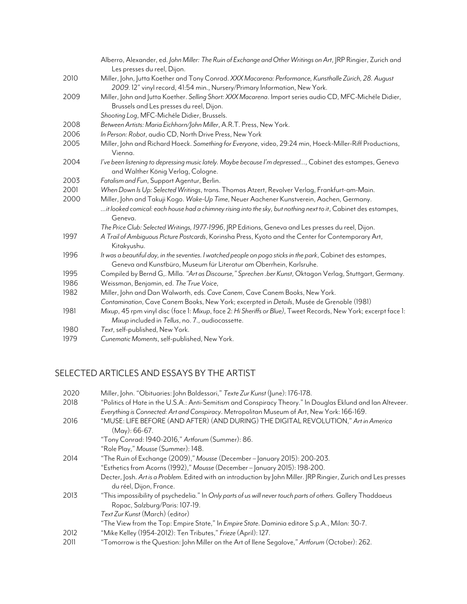|      | Alberro, Alexander, ed. John Miller: The Ruin of Exchange and Other Writings on Art, JRP Ringier, Zurich and<br>Les presses du reel, Dijon.                                                                |
|------|------------------------------------------------------------------------------------------------------------------------------------------------------------------------------------------------------------|
| 2010 | Miller, John, Jutta Koether and Tony Conrad. XXX Macarena: Performance, Kunsthalle Zürich, 28. August<br>2009. 12" vinyl record, 41:54 min., Nursery/Primary Information, New York.                        |
| 2009 | Miller, John and Jutta Koether. Selling Short: XXX Macarena. Import series audio CD, MFC-Michéle Didier,<br>Brussels and Les presses du reel, Dijon.                                                       |
|      | Shooting Log, MFC-Michéle Didier, Brussels.                                                                                                                                                                |
| 2008 | Between Artists: Maria Eichhorn/John Miller, A.R.T. Press, New York.                                                                                                                                       |
| 2006 | In Person: Robot, audio CD, North Drive Press, New York                                                                                                                                                    |
| 2005 | Miller, John and Richard Hoeck. Something for Everyone, video, 29:24 min, Hoeck-Miller-Riff Productions,<br>Vienna.                                                                                        |
| 2004 | I've been listening to depressing music lately. Maybe because I'm depressed, Cabinet des estampes, Geneva<br>and Walther König Verlag, Cologne.                                                            |
| 2003 | Fatalism and Fun, Support Agentur, Berlin.                                                                                                                                                                 |
| 2001 | When Down Is Up: Selected Writings, trans. Thomas Atzert, Revolver Verlag, Frankfurt-am-Main.                                                                                                              |
| 2000 | Miller, John and Takuji Kogo. Wake-Up Time, Neuer Aachener Kunstverein, Aachen, Germany.<br>it looked comical: each house had a chimney rising into the sky, but nothing next to it, Cabinet des estampes, |
|      | Geneva.                                                                                                                                                                                                    |
|      | The Price Club: Selected Writings, 1977-1996, JRP Editions, Geneva and Les presses du reel, Dijon.                                                                                                         |
| 1997 | A Trail of Ambiguous Picture Postcards, Korinsha Press, Kyoto and the Center for Contemporary Art,<br>Kitakyushu.                                                                                          |
| 1996 | It was a beautiful day, in the seventies. I watched people on pogo sticks in the park, Cabinet des estampes,<br>Geneva and Kunstbüro, Museum für Literatur am Oberrhein, Karlsruhe.                        |
| 1995 | Compiled by Bernd G,. Milla. "Art as Discourse," Sprechen .ber Kunst, Oktagon Verlag, Stuttgart, Germany.                                                                                                  |
| 1986 | Weissman, Benjamin, ed. The True Voice,                                                                                                                                                                    |
| 1982 | Miller, John and Dan Walworth, eds. Cave Canem, Cave Canem Books, New York.                                                                                                                                |
|      | Contamination, Cave Canem Books, New York; excerpted in Details, Musée de Grenoble (1981)                                                                                                                  |
| 1981 | Mixup, 45 rpm vinyl disc (face 1: Mixup, face 2: Hi Sheriffs or Blue), Tweet Records, New York; excerpt face 1:                                                                                            |
|      | Mixup included in Tellus, no. 7., audiocassette.                                                                                                                                                           |
| 1980 | Text, self-published, New York.                                                                                                                                                                            |
| 1979 | Cunematic Moments, self-published, New York.                                                                                                                                                               |

## SELECTED ARTICLES AND ESSAYS BY THE ARTIST

| 2020 | Miller, John. "Obituaries: John Baldessari," Texte Zur Kunst (June): 176-178.                                   |
|------|-----------------------------------------------------------------------------------------------------------------|
| 2018 | "Politics of Hate in the U.S.A.: Anti-Semitism and Conspiracy Theory." In Douglas Eklund and lan Alteveer.      |
|      | Everything is Connected: Art and Conspiracy. Metropolitan Museum of Art, New York: 166-169.                     |
| 2016 | "MUSE: LIFE BEFORE (AND AFTER) (AND DURING) THE DIGITAL REVOLUTION," Art in America                             |
|      | $(May): 66-67.$                                                                                                 |
|      | "Tony Conrad: 1940-2016," Artforum (Summer): 86.                                                                |
|      | "Role Play," Mousse (Summer): 148.                                                                              |
| 2014 | "The Ruin of Exchange (2009)," Mousse (December - January 2015): 200-203.                                       |
|      | "Esthetics from Acorns (1992)," Mousse (December - January 2015): 198-200.                                      |
|      | Decter, Josh. Art is a Problem. Edited with an introduction by John Miller. JRP Ringier, Zurich and Les presses |
|      | du réel, Dijon, France.                                                                                         |
| 2013 | "This impossibility of psychedelia." In Only parts of us will never touch parts of others. Gallery Thaddaeus    |
|      | Ropac, Salzburg/Paris: 107-19.                                                                                  |
|      | Text Zur Kunst (March) (editor)                                                                                 |
|      | "The View from the Top: Empire State," In Empire State. Daminia editore S.p.A., Milan: 30-7.                    |
| 2012 | "Mike Kelley (1954-2012): Ten Tributes," Frieze (April): 127.                                                   |
| 2011 | "Tomorrow is the Question: John Miller on the Art of Ilene Segalove," Artforum (October): 262.                  |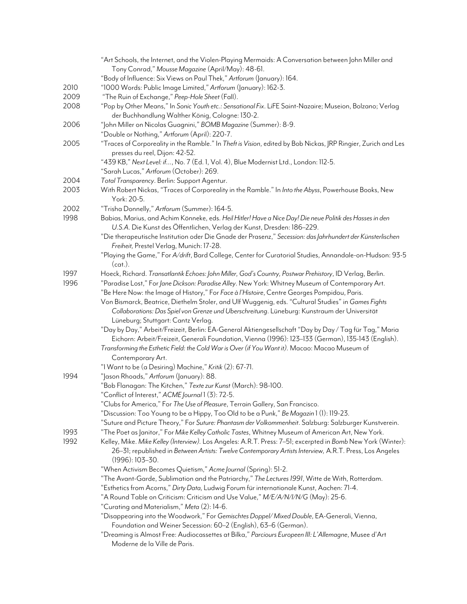|      | "Art Schools, the Internet, and the Violen-Playing Mermaids: A Conversation between John Miller and                                                                                |
|------|------------------------------------------------------------------------------------------------------------------------------------------------------------------------------------|
|      | Tony Conrad," Mousse Magazine (April/May): 48-61.                                                                                                                                  |
|      | "Body of Influence: Six Views on Paul Thek," Artforum (January): 164.                                                                                                              |
| 2010 | "1000 Words: Public Image Limited," Artforum (January): 162-3.                                                                                                                     |
| 2009 | "The Ruin of Exchange," Peep-Hole Sheet (Fall).                                                                                                                                    |
| 2008 | "Pop by Other Means," In Sonic Youth etc.: Sensational Fix. LiFE Saint-Nazaire; Museion, Bolzano; Verlag                                                                           |
|      | der Buchhandlung Walther König, Cologne: 130-2.                                                                                                                                    |
| 2006 | "John Miller on Nicolas Guagnini," BOMB Magazine (Summer): 8-9.                                                                                                                    |
|      | "Double or Nothing," Artforum (April): 220-7.                                                                                                                                      |
| 2005 | "Traces of Corporeality in the Ramble." In Theft is Vision, edited by Bob Nickas, JRP Ringier, Zurich and Les<br>presses du reel, Dijon: 42-52.                                    |
|      | "439 KB," Next Level: if, No. 7 (Ed. 1, Vol. 4), Blue Modernist Ltd., London: 112-5.                                                                                               |
|      | "Sarah Lucas," Artforum (October): 269.                                                                                                                                            |
| 2004 | Total Transparency. Berlin: Support Agentur.                                                                                                                                       |
| 2003 | With Robert Nickas, "Traces of Corporeality in the Ramble." In Into the Abyss, Powerhouse Books, New<br>York: 20-5.                                                                |
| 2002 | "Trisha Donnelly," Artforum (Summer): 164-5.                                                                                                                                       |
| 1998 | Babias, Marius, and Achim Könneke, eds. Heil Hitler! Have a Nice Day! Die neue Politik des Hasses in den<br>U.S.A. Die Kunst des Öffentlichen, Verlag der Kunst, Dresden: 186-229. |
|      | "Die therapeutische Institution oder Die Gnade der Prasenz," Secession: das Jahrhundert der Künsterlischen<br>Freiheit, Prestel Verlag, Munich: 17-28.                             |
|      | "Playing the Game," For A/drift, Bard College, Center for Curatorial Studies, Annandale-on-Hudson: 93-5<br>(cat.).                                                                 |
| 1997 | Hoeck, Richard. Transatlantik Echoes: John Miller, God's Country, Postwar Prehistory, ID Verlag, Berlin.                                                                           |
| 1996 | "Paradise Lost," For Jane Dickson: Paradise Alley. New York: Whitney Museum of Contemporary Art.                                                                                   |
|      | "Be Here Now: the Image of History," For Face à l'Histoire, Centre Georges Pompidou, Paris.                                                                                        |
|      | Von Bismarck, Beatrice, Diethelm Stoler, and Ulf Wuggenig, eds. "Cultural Studies" in Games Fights                                                                                 |
|      | Collaborations: Das Spiel von Grenze und Uberschreitung. Lüneburg: Kunstraum der Universität<br>Lüneburg; Stuttgart: Cantz Verlag.                                                 |
|      | "Day by Day," Arbeit/Freizeit, Berlin: EA-General Aktiengesellschaft "Day by Day / Tag für Tag," Maria                                                                             |
|      | Eichorn: Arbeit/Freizeit, Generali Foundation, Vienna (1996): 123–133 (German), 135-143 (English).                                                                                 |
|      | Transforming the Esthetic Field: the Cold War is Over (if You Want it). Macao: Macao Museum of                                                                                     |
|      | Contemporary Art.                                                                                                                                                                  |
|      | "I Want to be (a Desiring) Machine," Kritik (2): 67-71.                                                                                                                            |
| 1994 | "Jason Rhoads," Artforum (January): 88.<br>"Bob Flanagan: The Kitchen," Texte zur Kunst (March): 98-100.                                                                           |
|      | "Conflict of Interest," ACME Journal 1 (3): 72-5.                                                                                                                                  |
|      | "Clubs for America," For The Use of Pleasure, Terrain Gallery, San Francisco.                                                                                                      |
|      | "Discussion: Too Young to be a Hippy, Too Old to be a Punk," Be Magazin 1 (1): 119-23.                                                                                             |
|      | "Suture and Picture Theory," For Suture: Phantasm der Volkommenheit. Salzburg: Salzburger Kunstverein.                                                                             |
| 1993 | "The Poet as Janitor," For Mike Kelley Catholic Tastes, Whitney Museum of American Art, New York.                                                                                  |
|      | Kelley, Mike. Mike Kelley (Interview). Los Angeles: A.R.T. Press: 7-51; excerpted in Bomb New York (Winter):                                                                       |
| 1992 | 26-31; republished in Between Artists: Twelve Contemporary Artists Interview, A.R.T. Press, Los Angeles<br>$(1996): 103 - 30.$                                                     |
|      | "When Activism Becomes Quietism," Acme Journal (Spring): 51-2.                                                                                                                     |
|      | "The Avant-Garde, Sublimation and the Patriarchy," The Lectures 1991, Witte de With, Rotterdam.                                                                                    |
|      | "Esthetics from Acorns," Dirty Data, Ludwig Forum für internationale Kunst, Aachen: 71-4.<br>"A Round Table on Criticism: Criticism and Use Value," M/E/A/N/I/N/G (May): 25-6.     |
|      | "Curating and Materialism," Meta (2): 14-6.                                                                                                                                        |
|      | "Disappearing into the Woodwork," For Gemischtes Doppel/Mixed Double, EA-Generali, Vienna,                                                                                         |
|      | Foundation and Weiner Secession: 60–2 (English), 63–6 (German).                                                                                                                    |
|      | "Dreaming is Almost Free: Audiocassettes at Bilka," Parciours Europeen III: L'Allemagne, Musee d'Art<br>Moderne de la Ville de Paris.                                              |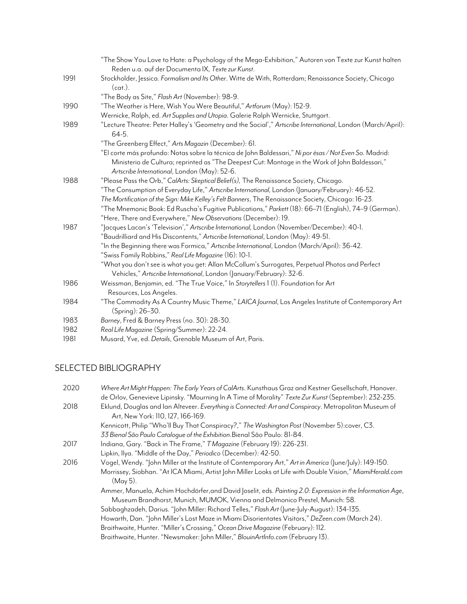|      | "The Show You Love to Hate: a Psychology of the Mega-Exhibition," Autoren von Texte zur Kunst halten                                                                                                                                                     |
|------|----------------------------------------------------------------------------------------------------------------------------------------------------------------------------------------------------------------------------------------------------------|
|      | Reden u.a. auf der Documenta IX, Texte zur Kunst.                                                                                                                                                                                                        |
| 1991 | Stockholder, Jessica. Formalism and Its Other. Witte de With, Rotterdam; Renaissance Society, Chicago<br>(cat.).                                                                                                                                         |
|      | "The Body as Site," Flash Art (November): 98-9.                                                                                                                                                                                                          |
| 1990 | "The Weather is Here, Wish You Were Beautiful," Artforum (May): 152-9.                                                                                                                                                                                   |
|      | Wernicke, Ralph, ed. Art Supplies and Utopia. Galerie Ralph Wernicke, Stuttgart.                                                                                                                                                                         |
| 1989 | "Lecture Theatre: Peter Halley's 'Geometry and the Social'," Artscribe International, London (March/April):<br>64-5.                                                                                                                                     |
|      | "The Greenberg Effect," Arts Magazin (December): 61.                                                                                                                                                                                                     |
|      | "El corte más profundo: Notas sobre la técnica de John Baldessari," Ni por ésas / Not Even So. Madrid:<br>Ministerio de Cultura; reprinted as "The Deepest Cut: Montage in the Work of John Baldessari,"<br>Artscribe International, London (May): 52-6. |
| 1988 | "Please Pass the Orb," CalArts: Skeptical Belief(s), The Renaissance Society, Chicago.                                                                                                                                                                   |
|      | "The Consumption of Everyday Life," Artscribe International, London (January/February): 46-52.                                                                                                                                                           |
|      | The Mortification of the Sign: Mike Kelley's Felt Banners, The Renaissance Society, Chicago: 16-23.                                                                                                                                                      |
|      | "The Mnemonic Book: Ed Ruscha's Fugitive Publications," Parkett (18): 66–71 (English), 74–9 (German).                                                                                                                                                    |
|      | "Here, There and Everywhere," New Observations (December): 19.                                                                                                                                                                                           |
| 1987 | "Jacques Lacan's 'Television'," Artscribe International, London (November/December): 40-1.                                                                                                                                                               |
|      | "Baudrilliard and His Discontents," Artscribe International, London (May): 49-51.                                                                                                                                                                        |
|      | "In the Beginning there was Formica," Artscribe International, London (March/April): 36-42.                                                                                                                                                              |
|      | "Swiss Family Robbins," Real Life Magazine (16): 10-1.                                                                                                                                                                                                   |
|      | "What you don't see is what you get: Allan McCollum's Surrogates, Perpetual Photos and Perfect<br>Vehicles," Artscribe International, London (January/February): 32-6.                                                                                   |
| 1986 | Weissman, Benjamin, ed. "The True Voice," In Storytellers 1 (1). Foundation for Art                                                                                                                                                                      |
|      | Resources, Los Angeles.                                                                                                                                                                                                                                  |
| 1984 | "The Commodity As A Country Music Theme," LAICA Journal, Los Angeles Institute of Contemporary Art<br>(Spring): 26-30.                                                                                                                                   |
| 1983 | Barney, Fred & Barney Press (no. 30): 28-30.                                                                                                                                                                                                             |
| 1982 | Real Life Magazine (Spring/Summer): 22-24.                                                                                                                                                                                                               |
| 1981 | Musard, Yve, ed. Details, Grenoble Museum of Art, Paris.                                                                                                                                                                                                 |

#### SELECTED BIBLIOGRAPHY

| 2020 | Where Art Might Happen: The Early Years of CalArts. Kunsthaus Graz and Kestner Gesellschaft, Hanover.       |
|------|-------------------------------------------------------------------------------------------------------------|
|      | de Orlov, Genevieve Lipinsky. "Mourning In A Time of Morality" Texte Zur Kunst (September): 232-235.        |
| 2018 | Eklund, Douglas and Ian Alteveer. Everything is Connected: Art and Conspiracy. Metropolitan Museum of       |
|      | Art, New York: 110, 127, 166-169.                                                                           |
|      | Kennicott, Philip "Who'll Buy That Conspiracy?," The Washington Post (November 5):cover, C3.                |
|      | 33 Bienal São Paulo Catalogue of the Exhibition. Bienal São Paulo: 81-84.                                   |
| 2017 | Indiana, Gary. "Back in The Frame," T Magazine (February 19): 226-231.                                      |
|      | Lipkin, Ilya. "Middle of the Day," Periodico (December): 42-50.                                             |
| 2016 | Vogel, Wendy. "John Miller at the Institute of Contemporary Art," Art in America (June/July): 149-150.      |
|      | Morrissey, Siobhan. "At ICA Miami, Artist John Miller Looks at Life with Double Vision," MiamiHerald.com    |
|      | (May 5).                                                                                                    |
|      | Ammer, Manuela, Achim Hochdörfer, and David   oselit, eds. Painting 2.0: Expression in the Information Age, |
|      | Museum Brandhorst, Munich, MUMOK, Vienna and Delmonico Prestel, Munich: 58.                                 |
|      | Sabbaghzadeh, Darius. "John Miller: Richard Telles," Flash Art (June-July-August): 134-135.                 |
|      | Howarth, Dan. "John Miller's Lost Maze in Miami Disorientates Visitors," DeZeen.com (March 24).             |
|      | Braithwaite, Hunter. "Miller's Crossing," Ocean Drive Magazine (February): 112.                             |
|      | Braithwaite, Hunter. "Newsmaker: John Miller," BlouinArtInfo.com (February 13).                             |
|      |                                                                                                             |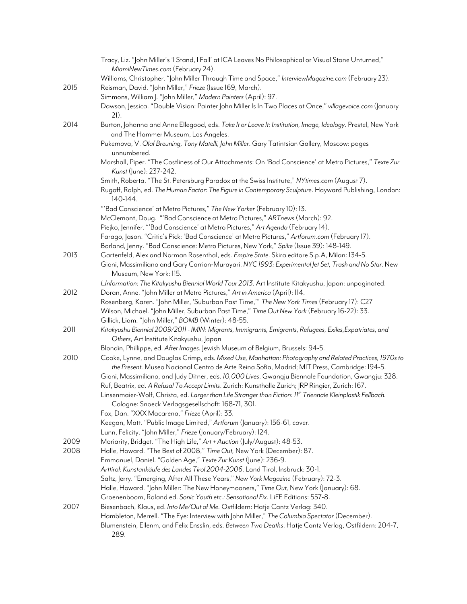|      | Tracy, Liz. "John Miller's 'I Stand, I Fall' at ICA Leaves No Philosophical or Visual Stone Unturned,"<br>MiamiNewTimes.com (February 24).                                                                                                         |
|------|----------------------------------------------------------------------------------------------------------------------------------------------------------------------------------------------------------------------------------------------------|
| 2015 | Williams, Christopher. "John Miller Through Time and Space," InterviewMagazine.com (February 23).<br>Reisman, David. "John Miller," Frieze (Issue 169, March).                                                                                     |
|      | Simmons, William J. "John Miller," Modern Painters (April): 97.                                                                                                                                                                                    |
|      | Dawson, Jessica. "Double Vision: Painter John Miller Is In Two Places at Once," villagevoice.com (January<br>21).                                                                                                                                  |
| 2014 | Burton, Johanna and Anne Ellegood, eds. Take It or Leave It: Institution, Image, Ideology. Prestel, New York<br>and The Hammer Museum, Los Angeles.                                                                                                |
|      | Pukemova, V. Olaf Breuning, Tony Matelli, John Miller. Gary Tatintsian Gallery, Moscow: pages<br>unnumbered.                                                                                                                                       |
|      | Marshall, Piper. "The Costliness of Our Attachments: On 'Bad Conscience' at Metro Pictures," Texte Zur<br>Kunst (June): 237-242.                                                                                                                   |
|      | Smith, Roberta. "The St. Petersburg Paradox at the Swiss Institute," NYtimes.com (August 7).                                                                                                                                                       |
|      | Rugoff, Ralph, ed. The Human Factor: The Figure in Contemporary Sculpture. Hayward Publishing, London:<br>140-144.                                                                                                                                 |
|      | "'Bad Conscience' at Metro Pictures," The New Yorker (February 10): 13.                                                                                                                                                                            |
|      | McClemont, Doug. "'Bad Conscience at Metro Pictures," ARTnews (March): 92.                                                                                                                                                                         |
|      | Piejko, Jennifer. "'Bad Conscience' at Metro Pictures," Art Agenda (February 14).                                                                                                                                                                  |
|      | Farago, Jason. "Critic's Pick: 'Bad Conscience' at Metro Pictures," Artforum.com (February 17).                                                                                                                                                    |
|      | Borland, Jenny. "Bad Conscience: Metro Pictures, New York," Spike (Issue 39): 148-149.                                                                                                                                                             |
| 2013 | Gartenfeld, Alex and Norman Rosenthal, eds. Empire State. Skira editore S.p.A, Milan: 134-5.                                                                                                                                                       |
|      | Gioni, Massimiliano and Gary Carrion-Murayari. NYC 1993: Experimental Jet Set, Trash and No Star. New<br>Museum, New York: 115.                                                                                                                    |
|      | LInformation: The Kitakyushu Biennial World Tour 2013. Art Institute Kitakyushu, Japan: unpaginated.                                                                                                                                               |
| 2012 | Doran, Anne. "John Miller at Metro Pictures," Art in America (April): 114.                                                                                                                                                                         |
|      | Rosenberg, Karen. "John Miller, 'Suburban Past Time,'" The New York Times (February 17): C27<br>Wilson, Michael. "John Miller, Suburban Past Time," Time Out New York (February 16-22): 33.<br>Gillick, Liam. "John Miller," BOMB (Winter): 48-55. |
| 2011 | Kitakyushu Biennial 2009/2011 - IMIN: Migrants, Immigrants, Emigrants, Refugees, Exiles, Expatriates, and                                                                                                                                          |
|      | Others, Art Institute Kitakyushu, Japan                                                                                                                                                                                                            |
|      | Blondin, Phillippe, ed. After Images. Jewish Museum of Belgium, Brussels: 94-5.                                                                                                                                                                    |
| 2010 | Cooke, Lynne, and Douglas Crimp, eds. Mixed Use, Manhattan: Photography and Related Practices, 1970s to<br>the Present. Museo Nacional Centro de Arte Reina Sofía, Madrid; MIT Press, Cambridge: 194-5.                                            |
|      | Gioni, Massimiliano, and Judy Ditner, eds. 10,000 Lives. Gwangju Biennale Foundation, Gwangju: 328.<br>Ruf, Beatrix, ed. A Refusal To Accept Limits. Zurich: Kunsthalle Zürich; JRP Ringier, Zurich: 167.                                          |
|      | Linsenmaier-Wolf, Christa, ed. Larger than Life Stranger than Fiction: 11 <sup>th</sup> Triennale Kleinplastik Fellbach.<br>Cologne: Snoeck Verlagsgesellschaft: 168-71, 301.                                                                      |
|      | Fox, Dan. "XXX Macarena," Frieze (April): 33.                                                                                                                                                                                                      |
|      | Keegan, Matt. "Public Image Limited," Artforum (January): 156-61, cover.                                                                                                                                                                           |
|      | Lunn, Felicity. "John Miller," Frieze (January/February): 124.                                                                                                                                                                                     |
| 2009 | Moriarity, Bridget. "The High Life," Art + Auction (July/August): 48-53.                                                                                                                                                                           |
| 2008 | Halle, Howard. "The Best of 2008," Time Out, New York (December): 87.                                                                                                                                                                              |
|      | Emmanuel, Daniel. "Golden Age," Texte Zur Kunst (June): 236-9.                                                                                                                                                                                     |
|      | Arttirol: Kunstankäufe des Landes Tirol 2004-2006. Land Tirol, Insbruck: 30-1.                                                                                                                                                                     |
|      | Saltz, Jerry. "Emerging, After All These Years," New York Magazine (February): 72-3.                                                                                                                                                               |
|      | Halle, Howard. "John Miller: The New Honeymooners," Time Out, New York (January): 68.                                                                                                                                                              |
|      | Groenenboom, Roland ed. Sonic Youth etc.: Sensational Fix. LiFE Editions: 557-8.                                                                                                                                                                   |
| 2007 | Biesenbach, Klaus, ed. Into Me/Out of Me. Ostfildern: Hatje Cantz Verlag: 340.<br>Hambleton, Merrell. "The Eye: Interview with John Miller," The Columbia Spectator (December).                                                                    |
|      | Blumenstein, Ellenm, and Felix Ensslin, eds. Between Two Deaths. Hatje Cantz Verlag, Ostfildern: 204-7,<br>289.                                                                                                                                    |
|      |                                                                                                                                                                                                                                                    |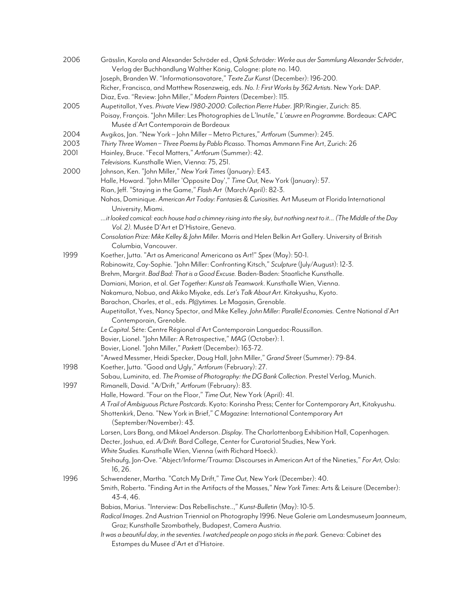| 2006 | Grässlin, Karola and Alexander Schröder ed., Optik Schröder: Werke aus der Sammlung Alexander Schröder,                                       |
|------|-----------------------------------------------------------------------------------------------------------------------------------------------|
|      | Verlag der Buchhandlung Walther König, Cologne: plate no. 140.                                                                                |
|      | Joseph, Branden W. "Informationsavatare," Texte Zur Kunst (December): 196-200.                                                                |
|      | Richer, Francisca, and Matthew Rosenzweig, eds. No. 1: First Works by 362 Artists. New York: DAP.                                             |
|      | Diaz, Eva. "Review: John Miller," Modern Painters (December): 115.                                                                            |
| 2005 | Aupetitallot, Yves. Private View 1980-2000: Collection Pierre Huber. JRP/Ringier, Zurich: 85.                                                 |
|      | Poisay, François. "John Miller: Les Photographies de L'Inutile," L'œuvre en Programme. Bordeaux: CAPC<br>Musée d'Art Contemporain de Bordeaux |
| 2004 | Avgikos, Jan. "New York - John Miller - Metro Pictures," Artforum (Summer): 245.                                                              |
| 2003 | Thirty Three Women - Three Poems by Pablo Picasso. Thomas Ammann Fine Art, Zurich: 26                                                         |
| 2001 | Hainley, Bruce. "Fecal Matters," Artforum (Summer): 42.                                                                                       |
|      | Televisions. Kunsthalle Wien, Vienna: 75, 251.                                                                                                |
| 2000 | Johnson, Ken. "John Miller," New York Times (January): E43.                                                                                   |
|      | Halle, Howard. "John Miller 'Opposite Day'," Time Out, New York (January): 57.                                                                |
|      | Rian, Jeff. "Staying in the Game," Flash Art (March/April): 82-3.                                                                             |
|      | Nahas, Dominique. American Art Today: Fantasies & Curiosities. Art Museum at Florida International                                            |
|      | University, Miami.                                                                                                                            |
|      | it looked comical: each house had a chimney rising into the sky, but nothing next to it (The Middle of the Day                                |
|      | Vol. 2). Musée D'Art et D'Histoire, Geneva.                                                                                                   |
|      | Consolation Prize: Mike Kelley & John Miller. Morris and Helen Belkin Art Gallery. University of British                                      |
|      | Columbia, Vancouver.                                                                                                                          |
| 1999 | Koether, Jutta. "Art as Americana! Americana as Art!" Spex (May): 50-1.                                                                       |
|      | Rabinowitz, Cay-Sophie. "John Miller: Confronting Kitsch," Sculpture (July/August): 12-3.                                                     |
|      | Brehm, Margrit. Bad Bad: That is a Good Excuse. Baden-Baden: Staatliche Kunsthalle.                                                           |
|      | Damiani, Marion, et al. Get Together: Kunst als Teamwork. Kunsthalle Wien, Vienna.                                                            |
|      | Nakamura, Nobuo, and Akiko Miyake, eds. Let's Talk About Art. Kitakyushu, Kyoto.                                                              |
|      | Barachon, Charles, et al., eds. Pl@ytimes. Le Magasin, Grenoble.                                                                              |
|      | Aupetitallot, Yves, Nancy Spector, and Mike Kelley. John Miller: Parallel Economies. Centre National d'Art                                    |
|      | Contemporain, Grenoble.                                                                                                                       |
|      | Le Capital. Séte: Centre Régional d'Art Contemporain Languedoc-Roussillon.                                                                    |
|      | Bovier, Lionel. "John Miller: A Retrospective," MAG (October): 1.                                                                             |
|      | Bovier, Lionel. "John Miller," Parkett (December): 163-72.                                                                                    |
|      | "Arwed Messmer, Heidi Specker, Doug Hall, John Miller," Grand Street (Summer): 79-84.                                                         |
| 1998 | Koether, Jutta. "Good and Ugly," Artforum (February): 27.                                                                                     |
|      | Sabau, Luminita, ed. The Promise of Photography: the DG Bank Collection. Prestel Verlag, Munich.                                              |
| 1997 | Rimanelli, David. "A/Drift," Artforum (February): 83.                                                                                         |
|      | Halle, Howard. "Four on the Floor," Time Out, New York (April): 41.                                                                           |
|      | A Trail of Ambiguous Picture Postcards. Kyoto: Korinsha Press; Center for Contemporary Art, Kitakyushu.                                       |
|      | Shottenkirk, Dena. "New York in Brief," C Magazine: International Contemporary Art                                                            |
|      | (September/November): 43.                                                                                                                     |
|      | Larsen, Lars Bang, and Mikael Anderson. Display. The Charlottenborg Exhibition Hall, Copenhagen.                                              |
|      | Decter, Joshua, ed. A/Drift. Bard College, Center for Curatorial Studies, New York.                                                           |
|      | White Studies. Kunsthalle Wien, Vienna (with Richard Hoeck).                                                                                  |
|      | Steihaufg, Jon-Ove. "Abject/Informe/Trauma: Discourses in American Art of the Nineties," For Art, Oslo:<br>16, 26.                            |
| 1996 | Schwendener, Martha. "Catch My Drift," Time Out, New York (December): 40.                                                                     |
|      | Smith, Roberta. "Finding Art in the Artifacts of the Masses," New York Times: Arts & Leisure (December):<br>43-4, 46.                         |
|      | Babias, Marius. "Interview: Das Rebellischste," Kunst-Bulletin (May): 10-5.                                                                   |
|      | Radical Images. 2nd Austrian Triennial on Photography 1996. Neue Galerie am Landesmuseum Joanneum,                                            |
|      | Graz; Kunsthalle Szombathely, Budapest, Camera Austria.                                                                                       |
|      | It was a beautiful day, in the seventies. I watched people on pogo sticks in the park. Geneva: Cabinet des                                    |
|      | Estampes du Musee d'Art et d'Histoire.                                                                                                        |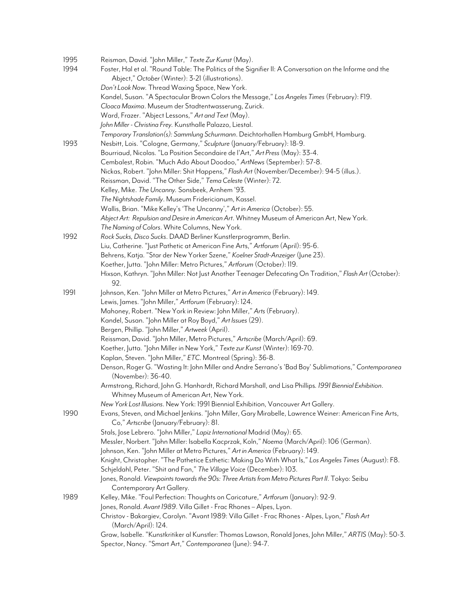| 1995<br>1994 | Reisman, David. "John Miller," Texte Zur Kunst (May).<br>Foster, Hal et al. "Round Table: The Politics of the Signifier II: A Conversation on the Informe and the |
|--------------|-------------------------------------------------------------------------------------------------------------------------------------------------------------------|
|              | Abject," October (Winter): 3-21 (illustrations).<br>Don't Look Now. Thread Waxing Space, New York.                                                                |
|              | Kandel, Susan. "A Spectacular Brown Colors the Message," Los Angeles Times (February): F19.                                                                       |
|              | Cloaca Maxima. Museum der Stadtentwasserung, Zurick.                                                                                                              |
|              | Ward, Frazer. "Abject Lessons," Art and Text (May).                                                                                                               |
|              | John Miller - Christina Frey. Kunsthalle Palazzo, Liestal.                                                                                                        |
|              | Temporary Translation(s): Sammlung Schurmann. Deichtorhallen Hamburg GmbH, Hamburg.                                                                               |
| 1993         | Nesbitt, Lois. "Cologne, Germany," Sculpture (January/February): 18-9.                                                                                            |
|              | Bourriaud, Nicolas. "La Position Secondaire de l'Art," Art Press (May): 33-4.                                                                                     |
|              | Cembalest, Robin. "Much Ado About Doodoo," ArtNews (September): 57-8.                                                                                             |
|              | Nickas, Robert. "John Miller: Shit Happens," Flash Art (November/December): 94-5 (illus.).                                                                        |
|              | Reissman, David. "The Other Side," Tema Celeste (Winter): 72.                                                                                                     |
|              | Kelley, Mike. The Uncanny. Sonsbeek, Arnhem '93.                                                                                                                  |
|              | The Nightshade Family. Museum Fridericianum, Kassel.                                                                                                              |
|              | Wallis, Brian. "Mike Kelley's 'The Uncanny'," Art in America (October): 55.                                                                                       |
|              | Abject Art: Repulsion and Desire in American Art. Whitney Museum of American Art, New York.                                                                       |
|              | The Naming of Colors. White Columns, New York.                                                                                                                    |
| 1992         | Rock Sucks, Disco Sucks. DAAD Berliner Kunstlerprogramm, Berlin.                                                                                                  |
|              | Liu, Catherine. "Just Pathetic at American Fine Arts," Artforum (April): 95-6.                                                                                    |
|              | Behrens, Katja. "Star der New Yorker Szene," Koelner Stadt-Anzeiger (June 23).                                                                                    |
|              | Koether, Jutta. "John Miller: Metro Pictures," Artforum (October): 119.                                                                                           |
|              | Hixson, Kathryn. "John Miller: Not Just Another Teenager Defecating On Tradition," Flash Art (October):                                                           |
|              | 92.                                                                                                                                                               |
| 1991         | Johnson, Ken. "John Miller at Metro Pictures," Art in America (February): 149.                                                                                    |
|              | Lewis, James. "John Miller," Artforum (February): 124.                                                                                                            |
|              | Mahoney, Robert. "New York in Review: John Miller," Arts (February).                                                                                              |
|              | Kandel, Susan. "John Miller at Roy Boyd," Art Issues (29).                                                                                                        |
|              | Bergen, Phillip. "John Miller," Artweek (April).                                                                                                                  |
|              | Reissman, David. "John Miller, Metro Pictures," Artscribe (March/April): 69.                                                                                      |
|              | Koether, Jutta. "John Miller in New York," Texte zur Kunst (Winter): 169-70.                                                                                      |
|              | Kaplan, Steven. "John Miller," ETC. Montreal (Spring): 36-8.                                                                                                      |
|              | Denson, Roger G. "Wasting It: John Miller and Andre Serrano's 'Bad Boy' Sublimations," Contemporanea                                                              |
|              | (November): 36-40.                                                                                                                                                |
|              | Armstrong, Richard, John G. Hanhardt, Richard Marshall, and Lisa Phillips. 1991 Biennial Exhibition.                                                              |
|              | Whitney Museum of American Art, New York.                                                                                                                         |
|              | New York Lost Illusions. New York: 1991 Biennial Exhibition, Vancouver Art Gallery.                                                                               |
| 1990         | Evans, Steven, and Michael Jenkins. "John Miller, Gary Mirabelle, Lawrence Weiner: American Fine Arts,<br>Co," Artscribe (January/February): 81.                  |
|              | Stals, Jose Lebrero. "John Miller," Lapiz International Madrid (May): 65.                                                                                         |
|              | Messler, Norbert. "John Miller: Isabella Kacprzak, Koln," Noema (March/April): 106 (German).                                                                      |
|              | Johnson, Ken. "John Miller at Metro Pictures," Art in America (February): 149.                                                                                    |
|              | Knight, Christopher. "The Pathetice Esthetic: Making Do With What Is," Los Angeles Times (August): F8.                                                            |
|              | Schjeldahl, Peter. "Shit and Fan," The Village Voice (December): 103.                                                                                             |
|              | Jones, Ronald. <i>Viewpoints towards the 90s: Three Artists from Metro Pictures Part II.</i> Tokyo: Seibu                                                         |
|              | Contemporary Art Gallery.                                                                                                                                         |
| 1989         | Kelley, Mike. "Foul Perfection: Thoughts on Caricature," Artforum (January): 92-9.                                                                                |
|              | Jones, Ronald. Avant 1989. Villa Gillet - Frac Rhones - Alpes, Lyon.                                                                                              |
|              | Christov - Bakargiev, Carolyn. "Avant 1989: Villa Gillet - Frac Rhones - Alpes, Lyon," Flash Art<br>(March/April): 124.                                           |
|              | Graw, Isabelle. "Kunstkritiker al Kunstler: Thomas Lawson, Ronald Jones, John Miller," ART/S (May): 50-3.                                                         |
|              | Spector, Nancy. "Smart Art," Contemporanea (June): 94-7.                                                                                                          |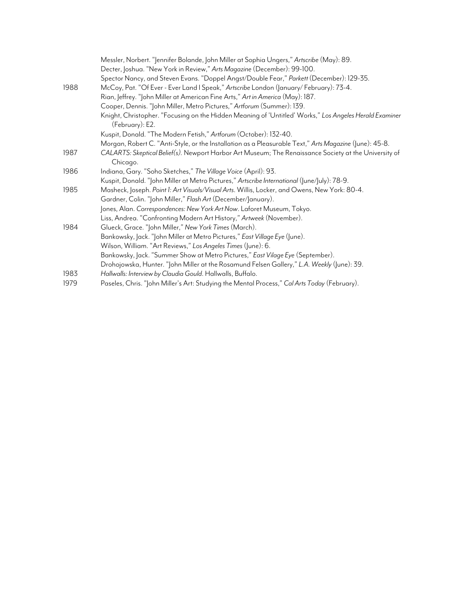|      | Messler, Norbert. "Jennifer Bolande, John Miller at Sophia Ungers," Artscribe (May): 89.                                  |
|------|---------------------------------------------------------------------------------------------------------------------------|
|      | Decter, Joshua. "New York in Review," Arts Magazine (December): 99-100.                                                   |
|      | Spector Nancy, and Steven Evans. "Doppel Angst/Double Fear," Parkett (December): 129-35.                                  |
| 1988 | McCoy, Pat. "Of Ever - Ever Land I Speak," Artscribe London (January/ February): 73-4.                                    |
|      | Rian, Jeffrey. "John Miller at American Fine Arts," Art in America (May): 187.                                            |
|      | Cooper, Dennis. "John Miller, Metro Pictures," Artforum (Summer): 139.                                                    |
|      | Knight, Christopher. "Focusing on the Hidden Meaning of 'Untitled' Works," Los Angeles Herald Examiner<br>(February): E2. |
|      | Kuspit, Donald. "The Modern Fetish," Artforum (October): 132-40.                                                          |
|      | Morgan, Robert C. "Anti-Style, or the Installation as a Pleasurable Text," Arts Magazine (June): 45-8.                    |
| 1987 | CALARTS: Skeptical Belief(s). Newport Harbor Art Museum; The Renaissance Society at the University of<br>Chicago.         |
| 1986 | Indiana, Gary. "Soho Sketches," The Village Voice (April): 93.                                                            |
|      | Kuspit, Donald. "John Miller at Metro Pictures," Artscribe International (June/July): 78-9.                               |
| 1985 | Masheck, Joseph. Point 1: Art Visuals/Visual Arts. Willis, Locker, and Owens, New York: 80-4.                             |
|      | Gardner, Colin. "John Miller," Flash Art (December/January).                                                              |
|      | Jones, Alan. Correspondences: New York Art Now. Laforet Museum, Tokyo.                                                    |
|      | Liss, Andrea. "Confronting Modern Art History," Artweek (November).                                                       |
| 1984 | Glueck, Grace. "John Miller," New York Times (March).                                                                     |
|      | Bankowsky, Jack. "John Miller at Metro Pictures," East Village Eye (June).                                                |
|      | Wilson, William. "Art Reviews," Los Angeles Times (June): 6.                                                              |
|      | Bankowsky, Jack. "Summer Show at Metro Pictures," East Vilage Eye (September).                                            |
|      | Drohojowska, Hunter. "John Miller at the Rosamund Felsen Gallery," L.A. Weekly (June): 39.                                |
| 1983 | Hallwalls: Interview by Claudia Gould. Hallwalls, Buffalo.                                                                |
| 1979 | Paseles, Chris. "John Miller's Art: Studying the Mental Process," Cal Arts Today (February).                              |